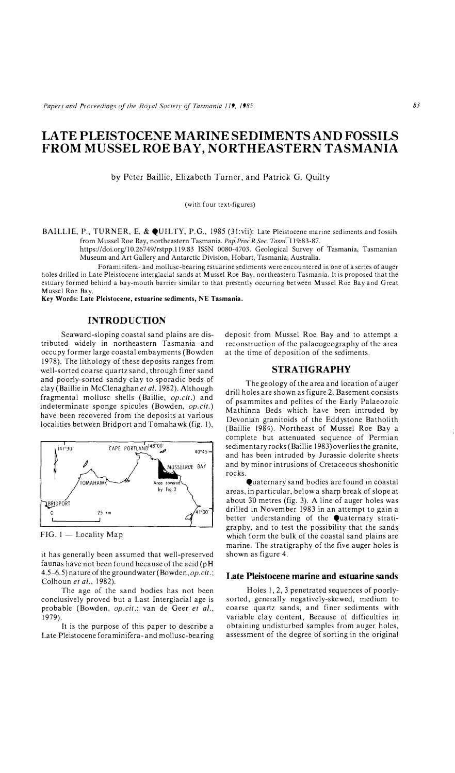*Papers and Proceedings of the Royal Society of Tasmania 119, 1985.* 

# **LA TE PLEISTOCENE MARINE SEDIMENTS AND FOSSILS FROM MUSSEL ROE BAY, NORTHEASTERN TASMANIA**

by Peter Baillie, Elizabeth Turner, and Patrick G. Quilty

(with four text-figures)

BAILLIE, P., TURNER, E. & QUILTY, P.G., 1985 (31:vii): Late Pleistocene marine sediments and fossils from Mussel Roe Bay, northeastern Tasmania. *Pap.Proc.R.Soc. Tasm.* 119:83-87.

https://doi.org/10.26749/rstpp.119.83 ISSN 0080-4703. Geological Survey of Tasmania, Tasmanian Museum and Art Gallery and Antarctic Division, Hobart, Tasmania, Australia.

Foraminifera- and mollusc-bearing estuarine sediments were encountered in one of a series of auger holes drilled in Late Pleistocene interglacial sands at Mussel Roe Bay, northeastern Tasmania. It is proposed that the estuary formed behind a bay-mouth barrier similar to that presently occurring between Mussel Roe Bay and Great Mussel Roe Bay.

**Key Words: Late Pleistocene, estuarine sediments, NE Tasmania.** 

## **INTRODUCTION**

Seaward-sloping coastal sand plains are distributed widely in northeastern Tasmania and occupy former large coastal embayments (Bowden 1978). The lithology of these deposits ranges from well-sorted coarse quartz sand, through finer sand and poorly-sorted sandy clay to sporadic beds of clay (Baillie in McClenaghanet *al.* 1982). Although fragmental mollusc shells (Baillie, *op.cit.)* and indeterminate sponge spicules (Bowden, *op.cit.)*  have been recovered from the deposits at various localities between Bridport and Tomahawk (fig. 1),



FIG. 1 — Locality Map

it has generally been assumed that well-preserved faunas have not been found because of the acid (pH 4.5-6.5) nature of the groundwater(Bowden, *op.cit.;*  Colhoun et al., 1982).

The age of the sand bodies has not been conclusively proved but a Last Interglacial age is probable (Bowden, *op.cit.;* van de Geer *et al.,*  1979).

It is the purpose of this paper to describe a Late Pleistocene foraminifera-and mollusc-bearing deposit from Mussel Roe Bay and to attempt a reconstruction of the palaeogeography of the area at the time of deposition of the sediments.

#### **STRATIGRAPHY**

The geology of the area and location of auger drill holes are shown as figure 2. Basement consists of psammites and pelites of the Early Palaeozoic Mathinna Beds which have been intruded by Devonian granitoids of the Eddystone Batholith (Baillie 1984). Northeast of Mussel Roe Bay a complete but attenuated sequence of Permian sedimentary rocks (Baillie 1983) overlies the granite, and has been intruded by Jurassic dolerite sheets and by minor intrusions of Cretaceous shoshonitic rocks.

Quaternary sand bodies are found in coastal areas, in particular, below a sharp break of slope at about 30 metres (fig. 3). A line of auger holes was drilled in November 1983 in an attempt to gain a better understanding of the Quaternary stratigraphy, and to test the possibility that the sands which form the bulk of the coastal sand plains are marine. The stratigraphy of the five auger holes is shown as figure 4.

#### **Late Pleistocene marine and estuarine sands**

Holes 1, 2, 3 penetrated sequences of poorlysorted, generally negatively-skewed, medium to coarse quartz sands, and finer sediments with variable clay content, Because of difficulties in obtaining undisturbed samples from auger holes, assessment of the degree of sorting in the original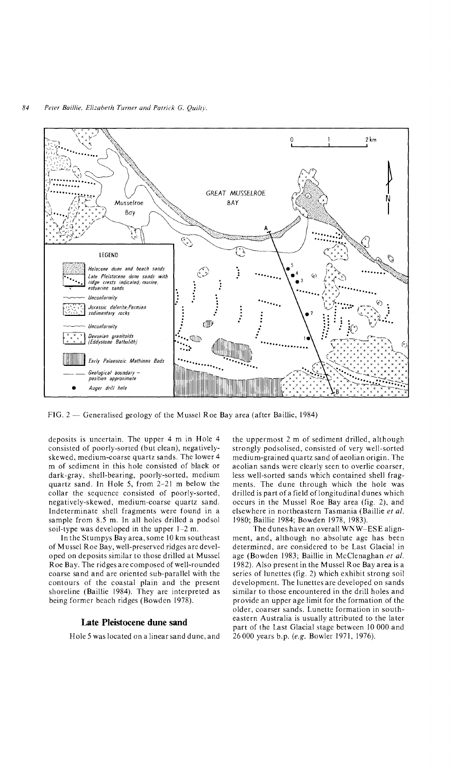

 $FIG. 2$  - Generalised geology of the Mussel Roe Bay area (after Baillie, 1984)

deposits is uncertain. The upper 4 m in Hole 4 consisted of poorly-sorted (but clean), negativelyskewed, medium-coarse quartz sands. The lower 4 m of sediment in this hole consisted of black or dark-gray, shell-bearing, poorly-sorted, medium quartz sand. In Hole 5, from 2-21 m below the collar the sequence consisted of poorly-sorted, negatively-skewed, medium-coarse quartz sand. Indeterminate shell fragments were found in a sample from 8.5 m. In all holes drilled a podsol soil-type was developed in the upper 1-2 m.

In the Stumpys Bay area, some 10 km southeast of Mussel Roe Bay, well-preserved ridges are developed on deposits similar to those drilled at Mussel Roe Bay. The ridges are composed of well-rounded coarse sand and are oriented sub-parallel with the contours of the coastal plain and the present shoreline (Baillie 1984). They are interpreted as being former beach ridges (Bowden 1978).

## **Late Pleistocene dune sand**

Hole 5 was located on a linear sand dune, and

the uppermost 2 m of sediment drilled, although strongly podsolised, consisted of very well-sorted medium-grained quartz sand of aeolian origin. The aeolian sands were clearly seen to overlie coarser, less well-sorted sands which contained shell fragments. The dune through which the hole was drilled is part of a field of longitudinal dunes which occurs in the Mussel Roe Bay area (fig. 2), and elsewhere in northeastern Tasmania (Baillie *et al.*  1980; Baillie 1984; Bowden 1978, 1983).

The dunes have an overall WNW-ESE alignment, and, although no absolute age has been determined, are considered to be Last Glacial in age (Bowden 1983; Baillie in McClenaghan *et al.*  1982). Also present in the Mussel Roe Bay area is a series of lunettes (fig. 2) which exhibit strong soil development. The lunettes are developed on sands similar to those encountered in the drill holes and provide an upper age limit for the formation of the older, coarser sands. Lunette formation in southeastern Australia is usually attributed to the later part of the Last Glacial stage between 10 000 and 26000 years b.p. (e.g. Bowler 1971, 1976).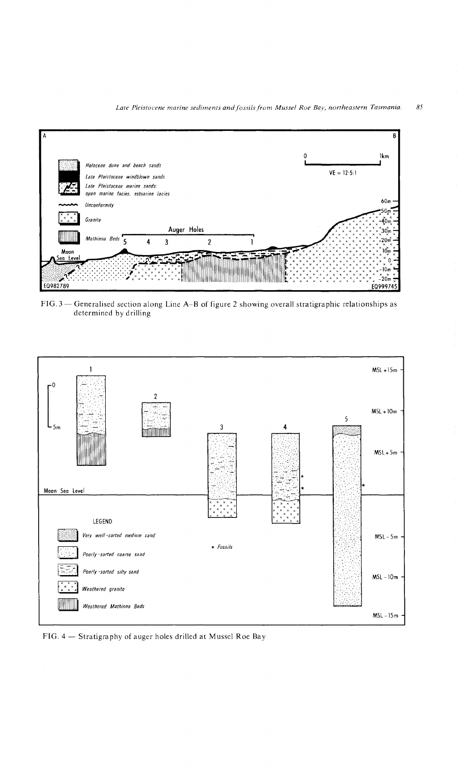

FIG. 3 - Generalised section along Line A-B of figure 2 showing overall stratigraphic relationships as determined by drilling



FIG. 4 -- Stratigraphy of auger holes drilled at Mussel Roe Bay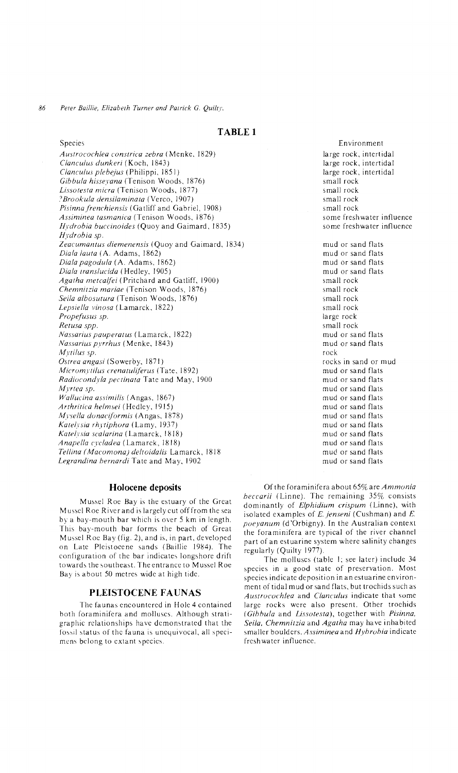## **TABLE 1**

Species *Austrocochlea constrica zebra* (Menke, 1829) *Clanculus dunkeri* (Koch, 1843) *Clanculus p/ebejus* (Philippi, 1851) *Gibbula hisseyana* (Tenison Woods, 1876) *Lissotesta micra* (Tenison Woods, 1877) ? *Brookula densilaminata* (Verco, 1907) *Pisinna frenchiensis* (Gatliff and Gabriel, 1908) *Assiminea tasmanica* (Tenison Woods, 1876) *Hydrobia bueeinoides* (Quoy and Gaimard, 1835) *Hydrobia sp. Zeacumantus diemenensis* (Quoy and Gaimard, 1834) *Diala laUla* (A. Adams, 1862) *Diala pagodula* (A. Adams, 1862) *Diala translueida* (Hedley, 1905) *Agatha metealfei* (Pritchard and Gatliff, 1900) *Chemnilzia mariae* (Tenison Woods, 1876) *Seila albosutura* (Tenison Woods, 1876) *Lepsiella vinosa* (Lamarck, 1822) *Propefusus sp. Retusa spp. l'ias.lariuspauperatus* (Lamarck, 1822) *Nassarius pyrrhus* (Menke, 1843) *Mytilus sp. Ostrea angasi* (Sowerby, 1871) *Micromytilus crenatuliferus* (Tate, 1892) *Radiocondyla pectinata* Tate and May, 1900 *Myrtea sp. Wallucina assimilis* (Angas, 1867) *Anhritica helmsei* (Hedlcy, 1915) *Mysella donaciformis* (Angas, 1878) *Katelysia rhytiphora* (Lamy, 1937) *Katehsia sealarina* (Lamarck, 1818) *Anapella cycladea* (Lamarck, 1818) *Tellina (Macomona) de Ito ida lis* Lamarck, 1818 *Legrandina hernardi* Tate and May, 1902

## **Holocene deposits**

Mussel Roe Bay is the estuary of the Great Mussel Roe River and is largely cut offfrom the sea by a bay-mouth bar which is over 5 km in length. This bay-mouth bar forms the beach of Great Mussel Roe Bay (fig. 2), and is, in part, developed on Late Pleistocene sands (Baillie 1984). The configuration of the bar indicates longshore drift towards the southeast. The entrance to Mussel Roe Bay is about 50 metres wide at high tide.

#### **PLEISTOCENE FAUNAS**

The faunas encountered in Hole 4 contained both foraminifera and molluscs. Although stratigraphic relationships have demonstrated that the fossil status of the fauna is unequivocal, all specimens belong to extant species.

Environment large rock, intertidal large rock, intertidal large rock, intertidal small rock small rock small rock small rock some freshwater influence some freshwater influence mud or sand flats mud or sand flats

mud or sand flats mud or sand flats small rock small rock small rock small rock large rock small rock mud or sand flats mud or sand flats rock rocks in sand or mud mud or sand flats mud or sand flats mud or sand flats mud or sand flats mud or sand flats mud or sand flats mud or sand flats mud or sand flats mud or sand flats mud or sand flats mud or sand flats

Of the foraminifera about65% are *Ammonia heccarii* (Linne). The remaining 35% consists dominantly of *Elphidium crispum* (Linne), with isolated examples of *E. jenseni* (Cushman) and *E. poeyanum* (d'Orbigny). In the Australian context the foraminifera are typical of the river channel part of an estuarine system where salinity changes regularly (Quilty 1977).

The molluscs (table I; see later) include 34 species in a good state of preservation. Most species indicate deposition in an estuarine environment of tidal mud or sand flats, but trochids such as *Austrocochlea* and *Clanculus* indicate that some large rocks were also present. Other trochids *(Gihhula* and *Lissotesta),* together with *Pisinna, Seila, Chemnitzia* and *Agatha* may have inhabited smaller boulders. *Assiminea* and *Hyhrohia* indicate freshwater influence.